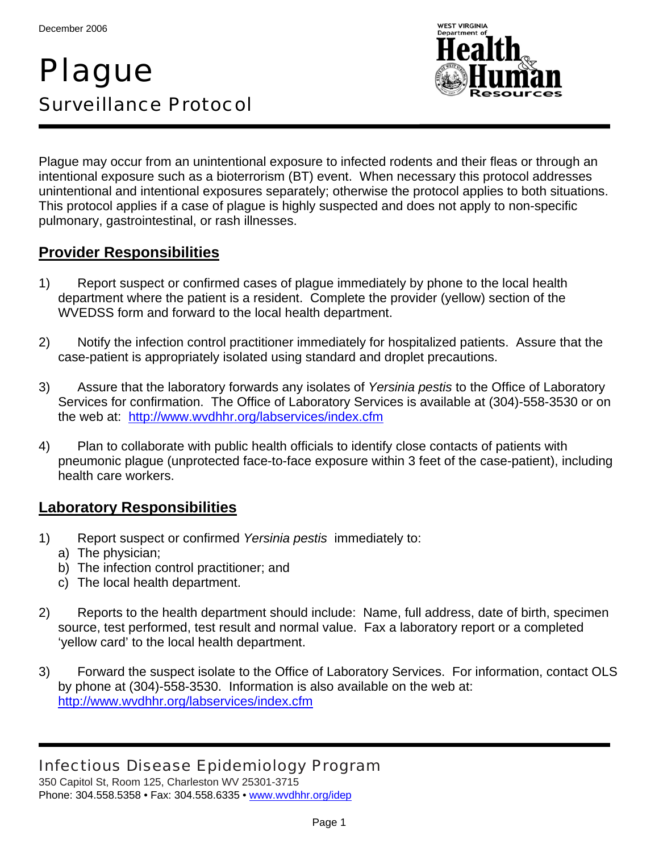# Plague Surveillance Protocol



Plague may occur from an unintentional exposure to infected rodents and their fleas or through an intentional exposure such as a bioterrorism (BT) event. When necessary this protocol addresses unintentional and intentional exposures separately; otherwise the protocol applies to both situations. This protocol applies if a case of plague is highly suspected and does not apply to non-specific pulmonary, gastrointestinal, or rash illnesses.

#### **Provider Responsibilities**

- 1) Report suspect or confirmed cases of plague immediately by phone to the local health department where the patient is a resident. Complete the provider (yellow) section of the WVEDSS form and forward to the local health department.
- 2) Notify the infection control practitioner immediately for hospitalized patients. Assure that the case-patient is appropriately isolated using standard and droplet precautions.
- 3) Assure that the laboratory forwards any isolates of *Yersinia pestis* to the Office of Laboratory Services for confirmation. The Office of Laboratory Services is available at (304)-558-3530 or on the web at: http://www.wvdhhr.org/labservices/index.cfm
- 4) Plan to collaborate with public health officials to identify close contacts of patients with pneumonic plague (unprotected face-to-face exposure within 3 feet of the case-patient), including health care workers.

#### **Laboratory Responsibilities**

- 1) Report suspect or confirmed *Yersinia pestis* immediately to:
	- a) The physician;
	- b) The infection control practitioner; and
	- c) The local health department.
- 2) Reports to the health department should include: Name, full address, date of birth, specimen source, test performed, test result and normal value. Fax a laboratory report or a completed 'yellow card' to the local health department.
- 3) Forward the suspect isolate to the Office of Laboratory Services. For information, contact OLS by phone at (304)-558-3530. Information is also available on the web at: http://www.wvdhhr.org/labservices/index.cfm

# Infectious Disease Epidemiology Program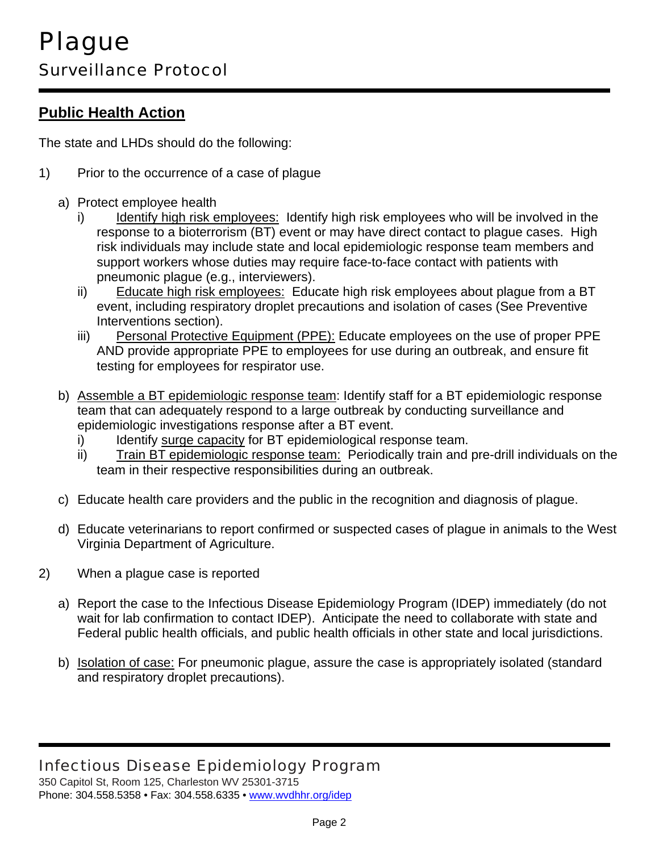# **Public Health Action**

The state and LHDs should do the following:

- 1) Prior to the occurrence of a case of plague
	- a) Protect employee health
		- i) Identify high risk employees: Identify high risk employees who will be involved in the response to a bioterrorism (BT) event or may have direct contact to plague cases. High risk individuals may include state and local epidemiologic response team members and support workers whose duties may require face-to-face contact with patients with pneumonic plague (e.g., interviewers).
		- ii) Educate high risk employees: Educate high risk employees about plague from a BT event, including respiratory droplet precautions and isolation of cases (See Preventive Interventions section).
		- iii) Personal Protective Equipment (PPE): Educate employees on the use of proper PPE AND provide appropriate PPE to employees for use during an outbreak, and ensure fit testing for employees for respirator use.
	- b) Assemble a BT epidemiologic response team: Identify staff for a BT epidemiologic response team that can adequately respond to a large outbreak by conducting surveillance and epidemiologic investigations response after a BT event.
		- i) Identify surge capacity for BT epidemiological response team.
		- ii) Train BT epidemiologic response team: Periodically train and pre-drill individuals on the team in their respective responsibilities during an outbreak.
	- c) Educate health care providers and the public in the recognition and diagnosis of plague.
	- d) Educate veterinarians to report confirmed or suspected cases of plague in animals to the West Virginia Department of Agriculture.
- 2) When a plague case is reported
	- a) Report the case to the Infectious Disease Epidemiology Program (IDEP) immediately (do not wait for lab confirmation to contact IDEP). Anticipate the need to collaborate with state and Federal public health officials, and public health officials in other state and local jurisdictions.
	- b) Isolation of case: For pneumonic plague, assure the case is appropriately isolated (standard and respiratory droplet precautions).

# Infectious Disease Epidemiology Program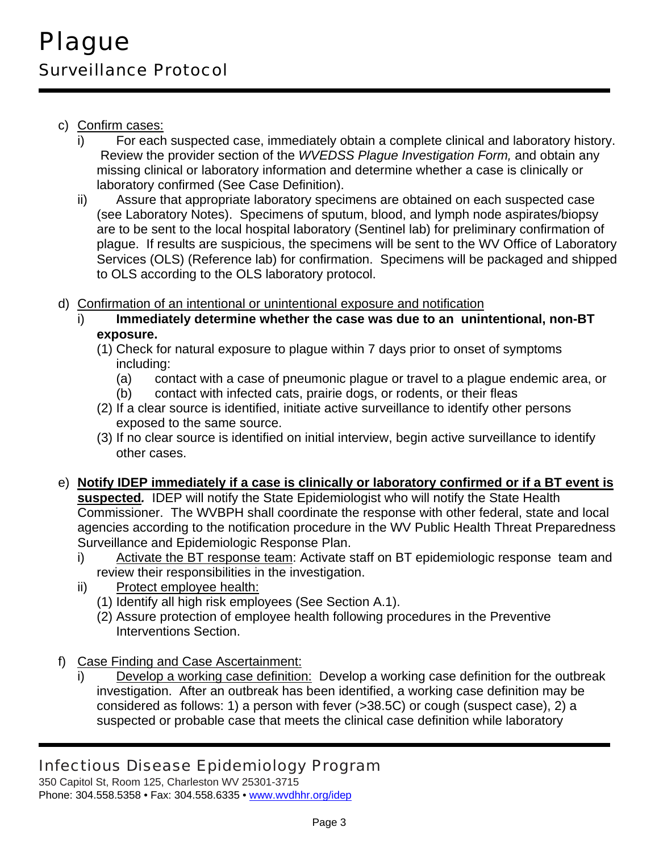- c) Confirm cases:
	- i) For each suspected case, immediately obtain a complete clinical and laboratory history. Review the provider section of the *WVEDSS Plague Investigation Form,* and obtain any missing clinical or laboratory information and determine whether a case is clinically or laboratory confirmed (See Case Definition).
	- ii) Assure that appropriate laboratory specimens are obtained on each suspected case (see Laboratory Notes). Specimens of sputum, blood, and lymph node aspirates/biopsy are to be sent to the local hospital laboratory (Sentinel lab) for preliminary confirmation of plague. If results are suspicious, the specimens will be sent to the WV Office of Laboratory Services (OLS) (Reference lab) for confirmation. Specimens will be packaged and shipped to OLS according to the OLS laboratory protocol.
- d) Confirmation of an intentional or unintentional exposure and notification
	- i) **Immediately determine whether the case was due to an unintentional, non-BT exposure.** 
		- (1) Check for natural exposure to plague within 7 days prior to onset of symptoms including:
			- (a) contact with a case of pneumonic plague or travel to a plague endemic area, or
			- (b) contact with infected cats, prairie dogs, or rodents, or their fleas
		- (2) If a clear source is identified, initiate active surveillance to identify other persons exposed to the same source.
		- (3) If no clear source is identified on initial interview, begin active surveillance to identify other cases.
- e) **Notify IDEP immediately if a case is clinically or laboratory confirmed or if a BT event is suspected***.* IDEP will notify the State Epidemiologist who will notify the State Health Commissioner. The WVBPH shall coordinate the response with other federal, state and local agencies according to the notification procedure in the WV Public Health Threat Preparedness Surveillance and Epidemiologic Response Plan.
	- i) Activate the BT response team: Activate staff on BT epidemiologic response team and review their responsibilities in the investigation.
	- ii) Protect employee health:
		- (1) Identify all high risk employees (See Section A.1).
		- (2) Assure protection of employee health following procedures in the Preventive Interventions Section.
- f) Case Finding and Case Ascertainment:
	- i) Develop a working case definition: Develop a working case definition for the outbreak investigation. After an outbreak has been identified, a working case definition may be considered as follows: 1) a person with fever (>38.5C) or cough (suspect case), 2) a suspected or probable case that meets the clinical case definition while laboratory

# Infectious Disease Epidemiology Program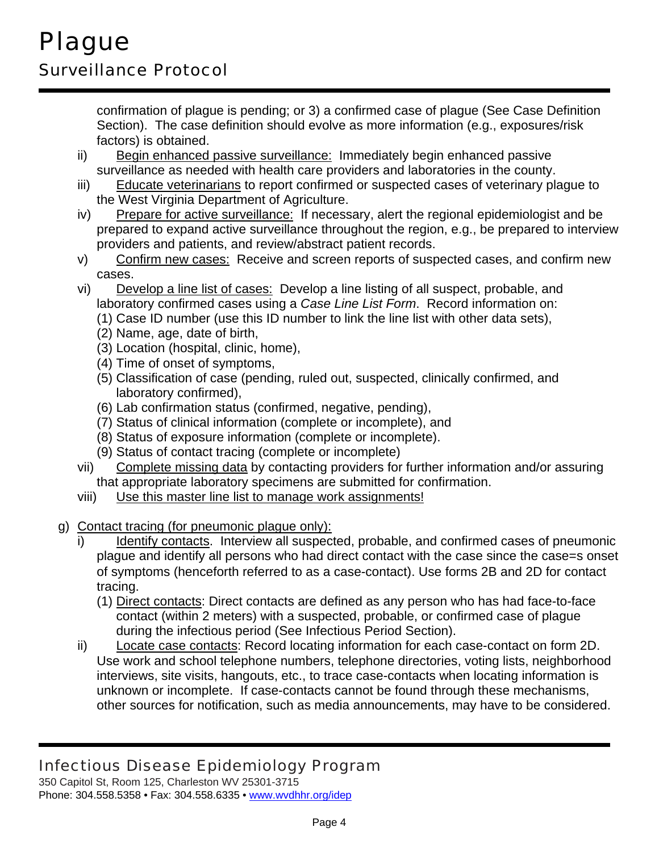confirmation of plague is pending; or 3) a confirmed case of plague (See Case Definition Section). The case definition should evolve as more information (e.g., exposures/risk factors) is obtained.

- ii) Begin enhanced passive surveillance: Immediately begin enhanced passive surveillance as needed with health care providers and laboratories in the county.
- iii) Educate veterinarians to report confirmed or suspected cases of veterinary plague to the West Virginia Department of Agriculture.
- iv) Prepare for active surveillance: If necessary, alert the regional epidemiologist and be prepared to expand active surveillance throughout the region, e.g., be prepared to interview providers and patients, and review/abstract patient records.
- v) Confirm new cases: Receive and screen reports of suspected cases, and confirm new cases.
- vi) Develop a line list of cases: Develop a line listing of all suspect, probable, and laboratory confirmed cases using a *Case Line List Form*. Record information on:
	- (1) Case ID number (use this ID number to link the line list with other data sets),
	- (2) Name, age, date of birth,
	- (3) Location (hospital, clinic, home),
	- (4) Time of onset of symptoms,
	- (5) Classification of case (pending, ruled out, suspected, clinically confirmed, and laboratory confirmed),
	- (6) Lab confirmation status (confirmed, negative, pending),
	- (7) Status of clinical information (complete or incomplete), and
	- (8) Status of exposure information (complete or incomplete).
	- (9) Status of contact tracing (complete or incomplete)
- vii) Complete missing data by contacting providers for further information and/or assuring that appropriate laboratory specimens are submitted for confirmation.
- viii) Use this master line list to manage work assignments!
- g) Contact tracing (for pneumonic plague only):
	- Identify contacts. Interview all suspected, probable, and confirmed cases of pneumonic plague and identify all persons who had direct contact with the case since the case=s onset of symptoms (henceforth referred to as a case-contact). Use forms 2B and 2D for contact tracing.
		- (1) Direct contacts: Direct contacts are defined as any person who has had face-to-face contact (within 2 meters) with a suspected, probable, or confirmed case of plague during the infectious period (See Infectious Period Section).
	- ii) Locate case contacts: Record locating information for each case-contact on form 2D. Use work and school telephone numbers, telephone directories, voting lists, neighborhood interviews, site visits, hangouts, etc., to trace case-contacts when locating information is unknown or incomplete. If case-contacts cannot be found through these mechanisms, other sources for notification, such as media announcements, may have to be considered.

# Infectious Disease Epidemiology Program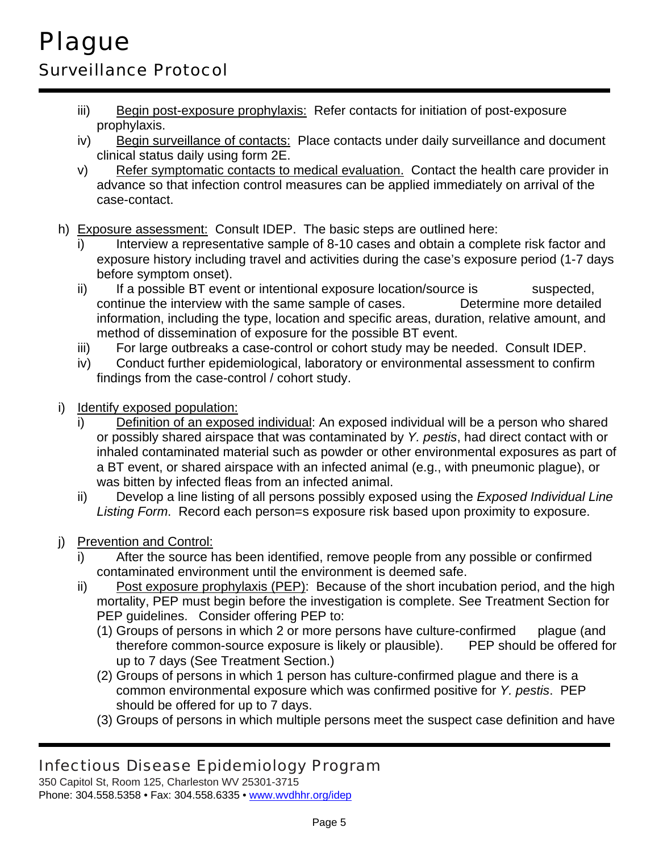- iii) Begin post-exposure prophylaxis: Refer contacts for initiation of post-exposure prophylaxis.
- iv) Begin surveillance of contacts: Place contacts under daily surveillance and document clinical status daily using form 2E.
- v) Refer symptomatic contacts to medical evaluation. Contact the health care provider in advance so that infection control measures can be applied immediately on arrival of the case-contact.
- h) Exposure assessment: Consult IDEP. The basic steps are outlined here:
	- i) Interview a representative sample of 8-10 cases and obtain a complete risk factor and exposure history including travel and activities during the case's exposure period (1-7 days before symptom onset).
	- ii) If a possible BT event or intentional exposure location/source is suspected, continue the interview with the same sample of cases. Determine more detailed information, including the type, location and specific areas, duration, relative amount, and method of dissemination of exposure for the possible BT event.
	- iii) For large outbreaks a case-control or cohort study may be needed. Consult IDEP.
	- iv) Conduct further epidemiological, laboratory or environmental assessment to confirm findings from the case-control / cohort study.
- i) Identify exposed population:
	- i) Definition of an exposed individual: An exposed individual will be a person who shared or possibly shared airspace that was contaminated by *Y. pestis*, had direct contact with or inhaled contaminated material such as powder or other environmental exposures as part of a BT event, or shared airspace with an infected animal (e.g., with pneumonic plague), or was bitten by infected fleas from an infected animal.
	- ii) Develop a line listing of all persons possibly exposed using the *Exposed Individual Line Listing Form*. Record each person=s exposure risk based upon proximity to exposure.
- j) Prevention and Control:
	- i) After the source has been identified, remove people from any possible or confirmed contaminated environment until the environment is deemed safe.
	- ii) Post exposure prophylaxis (PEP): Because of the short incubation period, and the high mortality, PEP must begin before the investigation is complete. See Treatment Section for PEP guidelines. Consider offering PEP to:
		- (1) Groups of persons in which 2 or more persons have culture-confirmed plague (and therefore common-source exposure is likely or plausible). PEP should be offered for up to 7 days (See Treatment Section.)
		- (2) Groups of persons in which 1 person has culture-confirmed plague and there is a common environmental exposure which was confirmed positive for *Y. pestis*. PEP should be offered for up to 7 days.
		- (3) Groups of persons in which multiple persons meet the suspect case definition and have

# Infectious Disease Epidemiology Program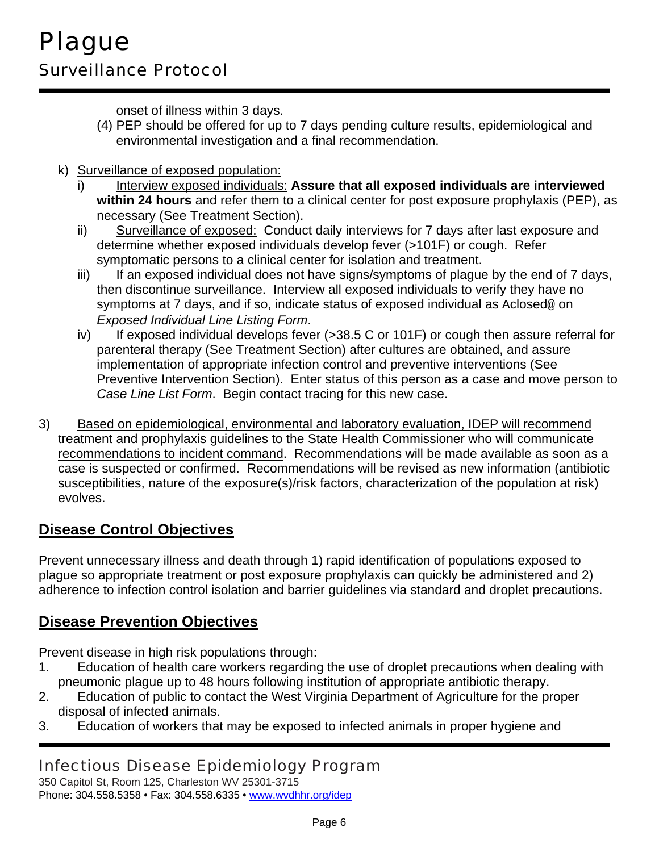onset of illness within 3 days.

- (4) PEP should be offered for up to 7 days pending culture results, epidemiological and environmental investigation and a final recommendation.
- k) Surveillance of exposed population:
	- i) Interview exposed individuals: Assure that all exposed individuals are interviewed **within 24 hours** and refer them to a clinical center for post exposure prophylaxis (PEP), as necessary (See Treatment Section).
	- ii) Surveillance of exposed: Conduct daily interviews for 7 days after last exposure and determine whether exposed individuals develop fever (>101F) or cough. Refer symptomatic persons to a clinical center for isolation and treatment.
	- iii) If an exposed individual does not have signs/symptoms of plague by the end of 7 days, then discontinue surveillance. Interview all exposed individuals to verify they have no symptoms at 7 days, and if so, indicate status of exposed individual as Aclosed@ on *Exposed Individual Line Listing Form*.
	- iv) If exposed individual develops fever  $(>38.5 C$  or 101F) or cough then assure referral for parenteral therapy (See Treatment Section) after cultures are obtained, and assure implementation of appropriate infection control and preventive interventions (See Preventive Intervention Section). Enter status of this person as a case and move person to *Case Line List Form*. Begin contact tracing for this new case.
- 3) Based on epidemiological, environmental and laboratory evaluation, IDEP will recommend treatment and prophylaxis guidelines to the State Health Commissioner who will communicate recommendations to incident command. Recommendations will be made available as soon as a case is suspected or confirmed. Recommendations will be revised as new information (antibiotic susceptibilities, nature of the exposure(s)/risk factors, characterization of the population at risk) evolves.

# **Disease Control Objectives**

Prevent unnecessary illness and death through 1) rapid identification of populations exposed to plague so appropriate treatment or post exposure prophylaxis can quickly be administered and 2) adherence to infection control isolation and barrier guidelines via standard and droplet precautions.

## **Disease Prevention Objectives**

Prevent disease in high risk populations through:

- 1. Education of health care workers regarding the use of droplet precautions when dealing with pneumonic plague up to 48 hours following institution of appropriate antibiotic therapy.
- 2. Education of public to contact the West Virginia Department of Agriculture for the proper disposal of infected animals.
- 3. Education of workers that may be exposed to infected animals in proper hygiene and

# Infectious Disease Epidemiology Program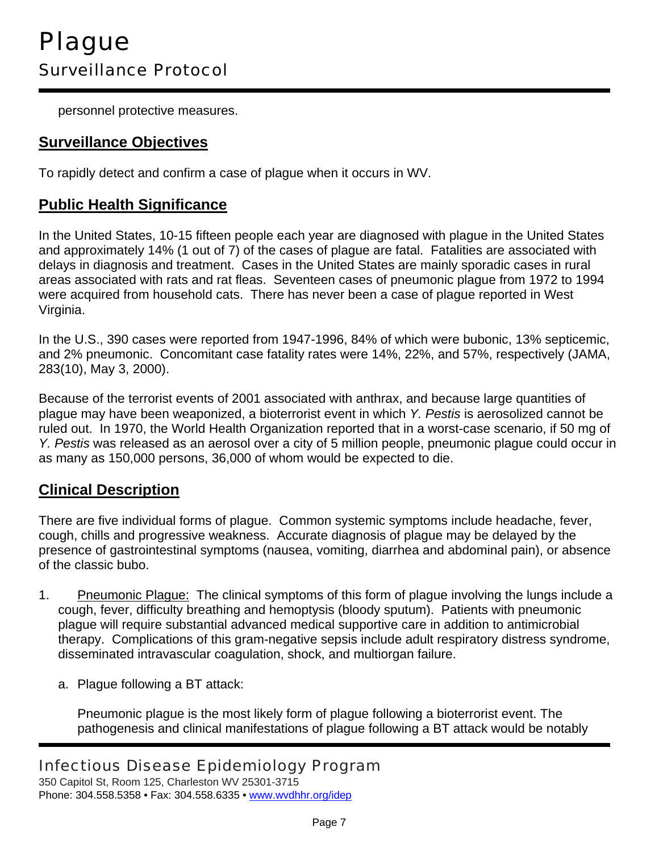personnel protective measures.

### **Surveillance Objectives**

To rapidly detect and confirm a case of plague when it occurs in WV.

### **Public Health Significance**

In the United States, 10-15 fifteen people each year are diagnosed with plague in the United States and approximately 14% (1 out of 7) of the cases of plague are fatal. Fatalities are associated with delays in diagnosis and treatment. Cases in the United States are mainly sporadic cases in rural areas associated with rats and rat fleas. Seventeen cases of pneumonic plague from 1972 to 1994 were acquired from household cats. There has never been a case of plague reported in West Virginia.

In the U.S., 390 cases were reported from 1947-1996, 84% of which were bubonic, 13% septicemic, and 2% pneumonic. Concomitant case fatality rates were 14%, 22%, and 57%, respectively (JAMA, 283(10), May 3, 2000).

Because of the terrorist events of 2001 associated with anthrax, and because large quantities of plague may have been weaponized, a bioterrorist event in which *Y. Pestis* is aerosolized cannot be ruled out. In 1970, the World Health Organization reported that in a worst-case scenario, if 50 mg of *Y. Pestis* was released as an aerosol over a city of 5 million people, pneumonic plague could occur in as many as 150,000 persons, 36,000 of whom would be expected to die.

## **Clinical Description**

There are five individual forms of plague. Common systemic symptoms include headache, fever, cough, chills and progressive weakness. Accurate diagnosis of plague may be delayed by the presence of gastrointestinal symptoms (nausea, vomiting, diarrhea and abdominal pain), or absence of the classic bubo.

- 1. Pneumonic Plague: The clinical symptoms of this form of plague involving the lungs include a cough, fever, difficulty breathing and hemoptysis (bloody sputum). Patients with pneumonic plague will require substantial advanced medical supportive care in addition to antimicrobial therapy. Complications of this gram-negative sepsis include adult respiratory distress syndrome, disseminated intravascular coagulation, shock, and multiorgan failure.
	- a. Plague following a BT attack:

Pneumonic plague is the most likely form of plague following a bioterrorist event. The pathogenesis and clinical manifestations of plague following a BT attack would be notably

## Infectious Disease Epidemiology Program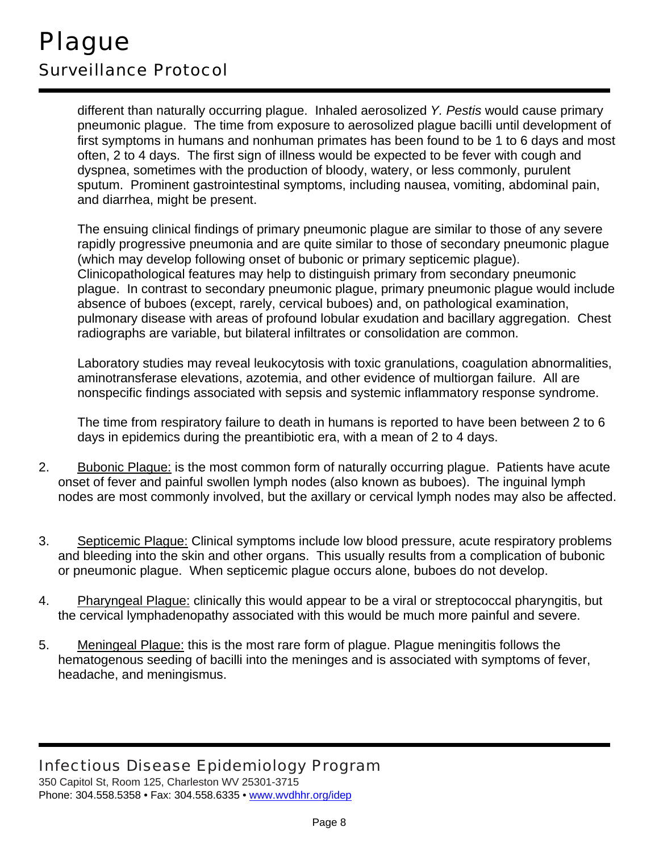different than naturally occurring plague. Inhaled aerosolized *Y. Pestis* would cause primary pneumonic plague. The time from exposure to aerosolized plague bacilli until development of first symptoms in humans and nonhuman primates has been found to be 1 to 6 days and most often, 2 to 4 days. The first sign of illness would be expected to be fever with cough and dyspnea, sometimes with the production of bloody, watery, or less commonly, purulent sputum. Prominent gastrointestinal symptoms, including nausea, vomiting, abdominal pain, and diarrhea, might be present.

The ensuing clinical findings of primary pneumonic plague are similar to those of any severe rapidly progressive pneumonia and are quite similar to those of secondary pneumonic plague (which may develop following onset of bubonic or primary septicemic plague). Clinicopathological features may help to distinguish primary from secondary pneumonic plague. In contrast to secondary pneumonic plague, primary pneumonic plague would include absence of buboes (except, rarely, cervical buboes) and, on pathological examination, pulmonary disease with areas of profound lobular exudation and bacillary aggregation. Chest radiographs are variable, but bilateral infiltrates or consolidation are common.

Laboratory studies may reveal leukocytosis with toxic granulations, coagulation abnormalities, aminotransferase elevations, azotemia, and other evidence of multiorgan failure. All are nonspecific findings associated with sepsis and systemic inflammatory response syndrome.

The time from respiratory failure to death in humans is reported to have been between 2 to 6 days in epidemics during the preantibiotic era, with a mean of 2 to 4 days.

- 2. Bubonic Plague: is the most common form of naturally occurring plague. Patients have acute onset of fever and painful swollen lymph nodes (also known as buboes). The inguinal lymph nodes are most commonly involved, but the axillary or cervical lymph nodes may also be affected.
- 3. Septicemic Plague: Clinical symptoms include low blood pressure, acute respiratory problems and bleeding into the skin and other organs. This usually results from a complication of bubonic or pneumonic plague. When septicemic plague occurs alone, buboes do not develop.
- 4. Pharyngeal Plague: clinically this would appear to be a viral or streptococcal pharyngitis, but the cervical lymphadenopathy associated with this would be much more painful and severe.
- 5. Meningeal Plague: this is the most rare form of plague. Plague meningitis follows the hematogenous seeding of bacilli into the meninges and is associated with symptoms of fever, headache, and meningismus.

# Infectious Disease Epidemiology Program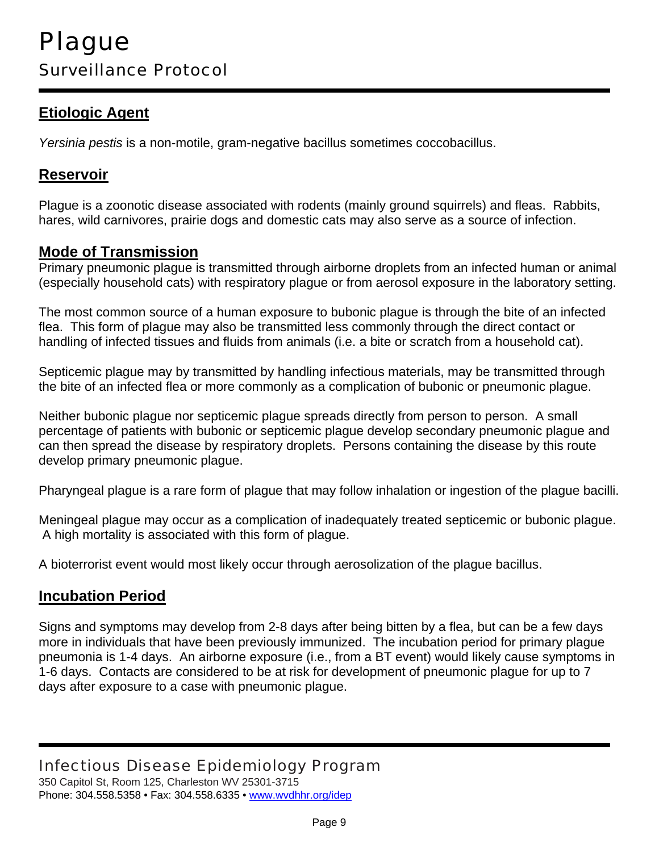## **Etiologic Agent**

*Yersinia pestis* is a non-motile, gram-negative bacillus sometimes coccobacillus.

#### **Reservoir**

Plague is a zoonotic disease associated with rodents (mainly ground squirrels) and fleas. Rabbits, hares, wild carnivores, prairie dogs and domestic cats may also serve as a source of infection.

#### **Mode of Transmission**

Primary pneumonic plague is transmitted through airborne droplets from an infected human or animal (especially household cats) with respiratory plague or from aerosol exposure in the laboratory setting.

The most common source of a human exposure to bubonic plague is through the bite of an infected flea. This form of plague may also be transmitted less commonly through the direct contact or handling of infected tissues and fluids from animals (i.e. a bite or scratch from a household cat).

Septicemic plague may by transmitted by handling infectious materials, may be transmitted through the bite of an infected flea or more commonly as a complication of bubonic or pneumonic plague.

Neither bubonic plague nor septicemic plague spreads directly from person to person. A small percentage of patients with bubonic or septicemic plague develop secondary pneumonic plague and can then spread the disease by respiratory droplets. Persons containing the disease by this route develop primary pneumonic plague.

Pharyngeal plague is a rare form of plague that may follow inhalation or ingestion of the plague bacilli.

Meningeal plague may occur as a complication of inadequately treated septicemic or bubonic plague. A high mortality is associated with this form of plague.

A bioterrorist event would most likely occur through aerosolization of the plague bacillus.

#### **Incubation Period**

Signs and symptoms may develop from 2-8 days after being bitten by a flea, but can be a few days more in individuals that have been previously immunized. The incubation period for primary plague pneumonia is 1-4 days. An airborne exposure (i.e., from a BT event) would likely cause symptoms in 1-6 days. Contacts are considered to be at risk for development of pneumonic plague for up to 7 days after exposure to a case with pneumonic plague.

## Infectious Disease Epidemiology Program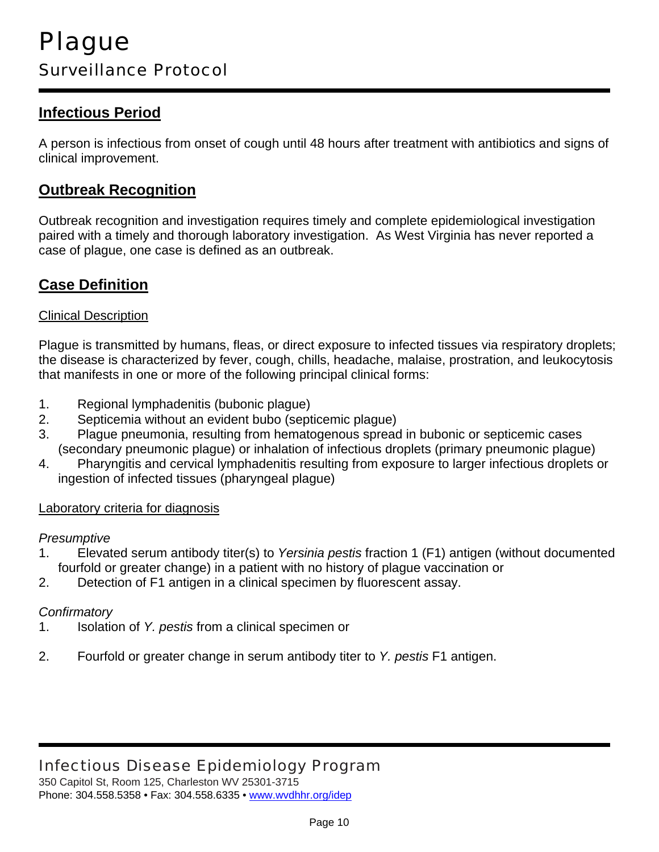## **Infectious Period**

A person is infectious from onset of cough until 48 hours after treatment with antibiotics and signs of clinical improvement.

#### **Outbreak Recognition**

Outbreak recognition and investigation requires timely and complete epidemiological investigation paired with a timely and thorough laboratory investigation. As West Virginia has never reported a case of plague, one case is defined as an outbreak.

#### **Case Definition**

#### Clinical Description

Plague is transmitted by humans, fleas, or direct exposure to infected tissues via respiratory droplets; the disease is characterized by fever, cough, chills, headache, malaise, prostration, and leukocytosis that manifests in one or more of the following principal clinical forms:

- 1. Regional lymphadenitis (bubonic plague)
- 2. Septicemia without an evident bubo (septicemic plague)
- 3. Plague pneumonia, resulting from hematogenous spread in bubonic or septicemic cases (secondary pneumonic plague) or inhalation of infectious droplets (primary pneumonic plague)
- 4. Pharyngitis and cervical lymphadenitis resulting from exposure to larger infectious droplets or ingestion of infected tissues (pharyngeal plague)

#### Laboratory criteria for diagnosis

#### *Presumptive*

- 1. Elevated serum antibody titer(s) to *Yersinia pestis* fraction 1 (F1) antigen (without documented fourfold or greater change) in a patient with no history of plague vaccination or
- 2. Detection of F1 antigen in a clinical specimen by fluorescent assay.

#### *Confirmatory*

- 1. Isolation of *Y. pestis* from a clinical specimen or
- 2. Fourfold or greater change in serum antibody titer to *Y. pestis* F1 antigen.

# Infectious Disease Epidemiology Program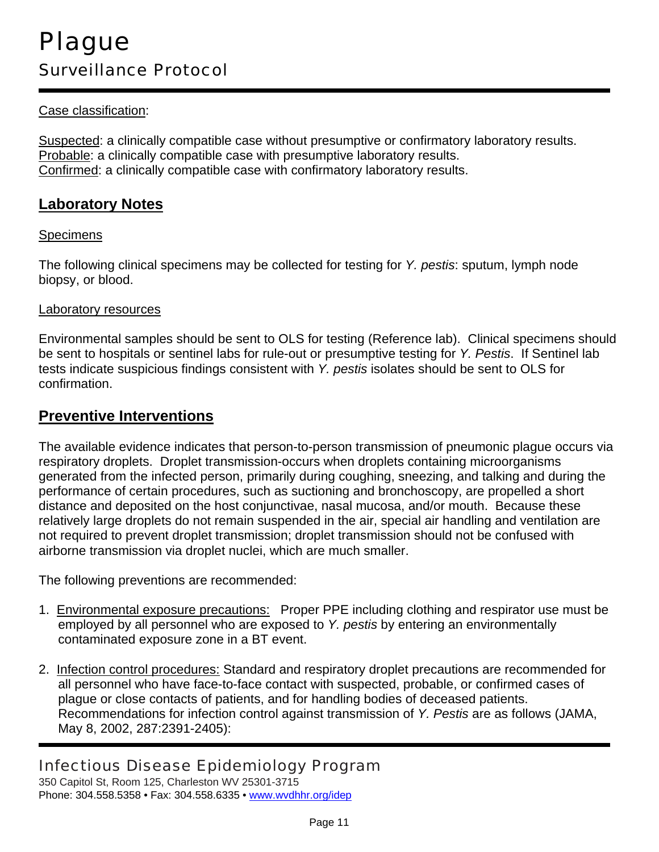#### Case classification:

Suspected: a clinically compatible case without presumptive or confirmatory laboratory results. Probable: a clinically compatible case with presumptive laboratory results. Confirmed: a clinically compatible case with confirmatory laboratory results.

#### **Laboratory Notes**

#### **Specimens**

The following clinical specimens may be collected for testing for *Y. pestis*: sputum, lymph node biopsy, or blood.

#### Laboratory resources

Environmental samples should be sent to OLS for testing (Reference lab). Clinical specimens should be sent to hospitals or sentinel labs for rule-out or presumptive testing for *Y. Pestis*. If Sentinel lab tests indicate suspicious findings consistent with *Y. pestis* isolates should be sent to OLS for confirmation.

#### **Preventive Interventions**

The available evidence indicates that person-to-person transmission of pneumonic plague occurs via respiratory droplets. Droplet transmission-occurs when droplets containing microorganisms generated from the infected person, primarily during coughing, sneezing, and talking and during the performance of certain procedures, such as suctioning and bronchoscopy, are propelled a short distance and deposited on the host conjunctivae, nasal mucosa, and/or mouth. Because these relatively large droplets do not remain suspended in the air, special air handling and ventilation are not required to prevent droplet transmission; droplet transmission should not be confused with airborne transmission via droplet nuclei, which are much smaller.

The following preventions are recommended:

- 1. Environmental exposure precautions: Proper PPE including clothing and respirator use must be employed by all personnel who are exposed to *Y. pestis* by entering an environmentally contaminated exposure zone in a BT event.
- 2. Infection control procedures: Standard and respiratory droplet precautions are recommended for all personnel who have face-to-face contact with suspected, probable, or confirmed cases of plague or close contacts of patients, and for handling bodies of deceased patients. Recommendations for infection control against transmission of *Y. Pestis* are as follows (JAMA, May 8, 2002, 287:2391-2405):

## Infectious Disease Epidemiology Program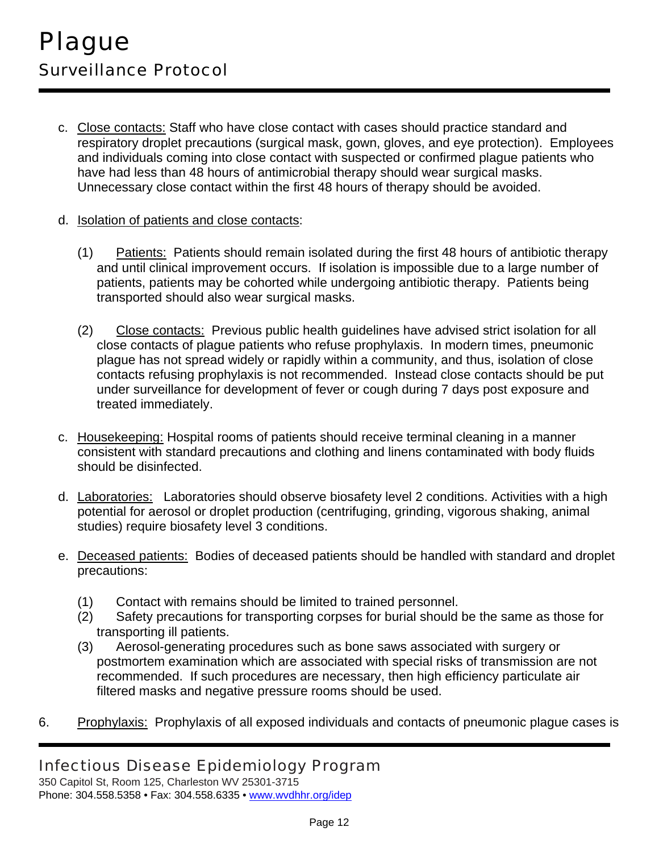- c. Close contacts: Staff who have close contact with cases should practice standard and respiratory droplet precautions (surgical mask, gown, gloves, and eye protection). Employees and individuals coming into close contact with suspected or confirmed plague patients who have had less than 48 hours of antimicrobial therapy should wear surgical masks. Unnecessary close contact within the first 48 hours of therapy should be avoided.
- d. Isolation of patients and close contacts:
	- (1) Patients: Patients should remain isolated during the first 48 hours of antibiotic therapy and until clinical improvement occurs. If isolation is impossible due to a large number of patients, patients may be cohorted while undergoing antibiotic therapy. Patients being transported should also wear surgical masks.
	- (2) Close contacts: Previous public health guidelines have advised strict isolation for all close contacts of plague patients who refuse prophylaxis. In modern times, pneumonic plague has not spread widely or rapidly within a community, and thus, isolation of close contacts refusing prophylaxis is not recommended. Instead close contacts should be put under surveillance for development of fever or cough during 7 days post exposure and treated immediately.
- c. Housekeeping: Hospital rooms of patients should receive terminal cleaning in a manner consistent with standard precautions and clothing and linens contaminated with body fluids should be disinfected.
- d. Laboratories: Laboratories should observe biosafety level 2 conditions. Activities with a high potential for aerosol or droplet production (centrifuging, grinding, vigorous shaking, animal studies) require biosafety level 3 conditions.
- e. Deceased patients: Bodies of deceased patients should be handled with standard and droplet precautions:
	- (1) Contact with remains should be limited to trained personnel.
	- (2) Safety precautions for transporting corpses for burial should be the same as those for transporting ill patients.
	- (3) Aerosol-generating procedures such as bone saws associated with surgery or postmortem examination which are associated with special risks of transmission are not recommended. If such procedures are necessary, then high efficiency particulate air filtered masks and negative pressure rooms should be used.
- 6. Prophylaxis: Prophylaxis of all exposed individuals and contacts of pneumonic plague cases is

# Infectious Disease Epidemiology Program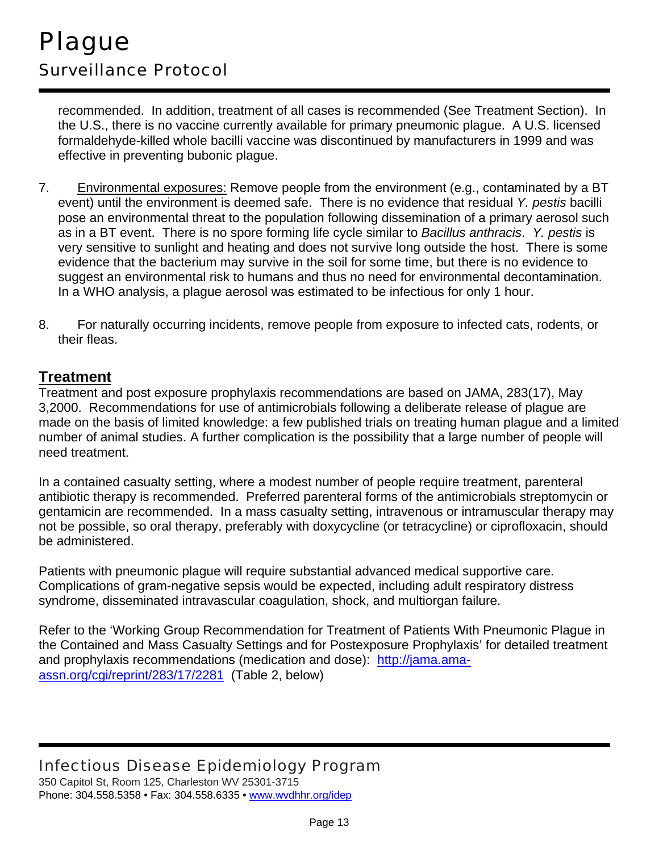recommended. In addition, treatment of all cases is recommended (See Treatment Section). In the U.S., there is no vaccine currently available for primary pneumonic plague. A U.S. licensed formaldehyde-killed whole bacilli vaccine was discontinued by manufacturers in 1999 and was effective in preventing bubonic plague.

- 7. Environmental exposures: Remove people from the environment (e.g., contaminated by a BT event) until the environment is deemed safe. There is no evidence that residual *Y. pestis* bacilli pose an environmental threat to the population following dissemination of a primary aerosol such as in a BT event. There is no spore forming life cycle similar to *Bacillus anthracis*. *Y. pestis* is very sensitive to sunlight and heating and does not survive long outside the host. There is some evidence that the bacterium may survive in the soil for some time, but there is no evidence to suggest an environmental risk to humans and thus no need for environmental decontamination. In a WHO analysis, a plague aerosol was estimated to be infectious for only 1 hour.
- 8. For naturally occurring incidents, remove people from exposure to infected cats, rodents, or their fleas.

#### **Treatment**

Treatment and post exposure prophylaxis recommendations are based on JAMA, 283(17), May 3,2000. Recommendations for use of antimicrobials following a deliberate release of plague are made on the basis of limited knowledge: a few published trials on treating human plague and a limited number of animal studies. A further complication is the possibility that a large number of people will need treatment.

In a contained casualty setting, where a modest number of people require treatment, parenteral antibiotic therapy is recommended. Preferred parenteral forms of the antimicrobials streptomycin or gentamicin are recommended. In a mass casualty setting, intravenous or intramuscular therapy may not be possible, so oral therapy, preferably with doxycycline (or tetracycline) or ciprofloxacin, should be administered.

Patients with pneumonic plague will require substantial advanced medical supportive care. Complications of gram-negative sepsis would be expected, including adult respiratory distress syndrome, disseminated intravascular coagulation, shock, and multiorgan failure.

Refer to the 'Working Group Recommendation for Treatment of Patients With Pneumonic Plague in the Contained and Mass Casualty Settings and for Postexposure Prophylaxis' for detailed treatment and prophylaxis recommendations (medication and dose): http://jama.amaassn.org/cgi/reprint/283/17/2281 (Table 2, below)

## Infectious Disease Epidemiology Program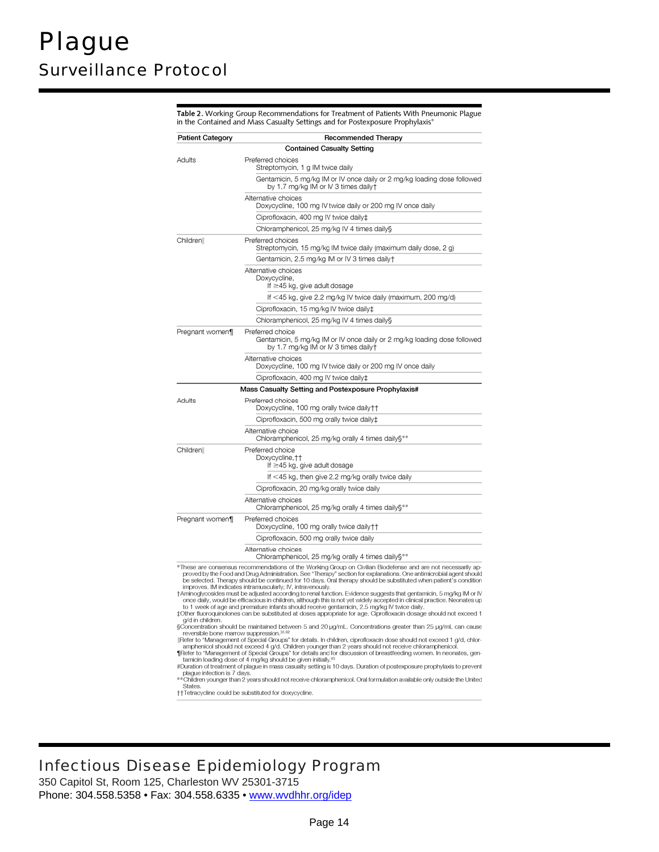**Patient Category Recommended Therapy Contained Casualty Setting** Adults Preferred choices Streptomycin, 1 g IM twice daily Gentamicin, 5 mg/kg IM or IV once daily or 2 mg/kg loading dose followed by 1.7 mg/kg IM or IV 3 times dailyt Alternative choices Doxycycline, 100 mg IV twice daily or 200 mg IV once daily Ciprofloxacin, 400 mg IV twice daily± Chloramphenicol, 25 mg/kg IV 4 times daily§ Childrenll Preferred choices Streptomycin, 15 mg/kg IM twice daily (maximum daily dose, 2 g) Gentamicin, 2.5 mg/kg IM or IV 3 times daily+ Alternative choices Doxycycline, If ≥45 kg, give adult dosage If <45 kg, give 2.2 mg/kg IV twice daily (maximum, 200 mg/d) Ciprofloxacin, 15 mg/kg IV twice daily‡ Chloramphenicol, 25 mg/kg IV 4 times daily§ Preferred choice Pregnant women¶ Gentamicin, 5 mg/kg IM or IV once daily or 2 mg/kg loading dose followed by 1.7 mg/kg IM or IV 3 times daily+ Alternative choices Doxycycline, 100 mg IV twice daily or 200 mg IV once daily Ciprofloxacin, 400 mg IV twice daily‡ Mass Casualty Setting and Postexposure Prophylaxis# Adults Preferred choices Doxycycline, 100 mg orally twice daily † † Ciprofloxacin, 500 mg orally twice daily‡ Alternative choice<br>Chloramphenicol, 25 mg/kg orally 4 times daily§\*\* Children Preferred choice Doxycycline, † † If ≥45 kg, give adult dosage If <45 kg, then give 2.2 mg/kg orally twice daily Ciprofloxacin, 20 mg/kg orally twice daily Alternative choices Chloramphenicol, 25 mg/kg orally 4 times daily§\*\* Preferred choices<br>Doxycycline, 100 mg orally twice daily†† Pregnant women¶ Ciprofloxacin, 500 mg orally twice daily Alternative choices Chloramphenicol, 25 mg/kg orally 4 times daily§\*\* These are consensus recommendations of the Working Group on Civilian Biodefense and are not necessarily approved by the Food and Drug Administration. See "Therapy" section for explanations. One antimicrobial agent should<br>b improves. IM indicates inframuscularly: IV, intravenously.<br>
TArrinoglycosides must be adjusted according to renal function. Evidence suggests that gentamicin, 5 mg/kg IM or IV<br>
TArrinoglycosides must be adjusted according to 1 week of age and premature infants should receive gentamicin, 2.5 mg/kg IV twice daily.<br>‡Other fluoroquinolones can be substituted at doses appropriate for age. Ciprofloxacin dosage should not exceed 1 g/d in children.  $\frac{1}{2}$  oncentration should be maintained between 5 and 20  $\mu$ g/mL. Concentrations greater than 25  $\mu$ g/mL can cause<br>reversible bone marrow suppression.<sup>35.62</sup><br>|Refer to "Management of Special Gourgs" for details. In amphenicol should not exceed 4 g/d. Children younger than 2 years should not receive chicramphenicol.<br>
Thefer to "Management of Special Groups" for details and for discussion of breastfeeding women. In neonates, gentannich

Table 2. Working Group Recommendations for Treatment of Patients With Pneumonic Plague in the Contained and Mass Casualty Settings and for Postexposure Prophylaxis<sup>4</sup>

#Duration of treatment of plague in mass casualty setting is 10 days. Duration of postexposure prophylaxis to prevent plague infection is 7 days.<br>\*\*Children younger than 2 years should not receive chloramphenicol. Oral formulation available only outside the United

**States** 

††Tetracycline could be substituted for doxycycline

# Infectious Disease Epidemiology Program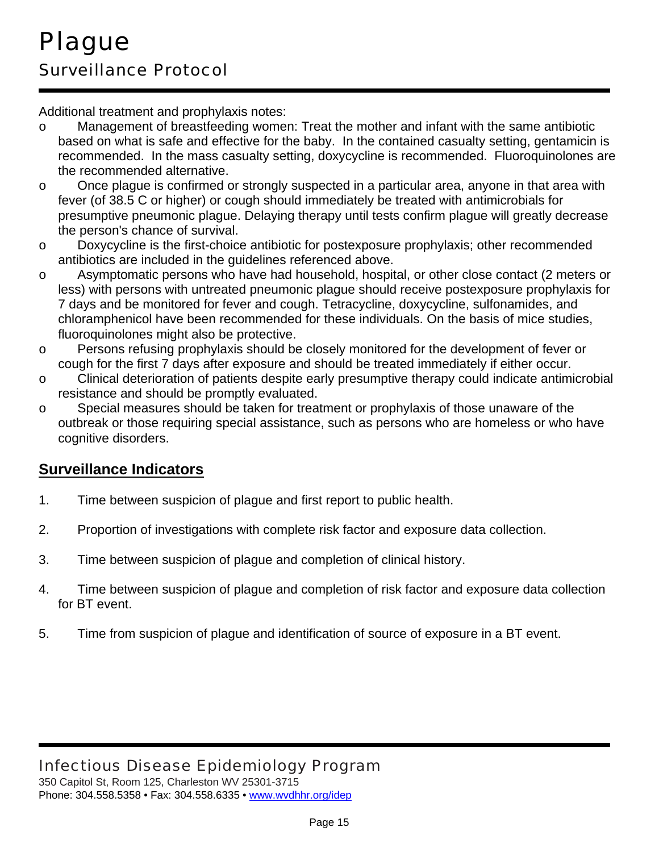Additional treatment and prophylaxis notes:

- o Management of breastfeeding women: Treat the mother and infant with the same antibiotic based on what is safe and effective for the baby. In the contained casualty setting, gentamicin is recommended. In the mass casualty setting, doxycycline is recommended. Fluoroquinolones are the recommended alternative.
- o Once plague is confirmed or strongly suspected in a particular area, anyone in that area with fever (of 38.5 C or higher) or cough should immediately be treated with antimicrobials for presumptive pneumonic plague. Delaying therapy until tests confirm plague will greatly decrease the person's chance of survival.
- o Doxycycline is the first-choice antibiotic for postexposure prophylaxis; other recommended antibiotics are included in the guidelines referenced above.
- o Asymptomatic persons who have had household, hospital, or other close contact (2 meters or less) with persons with untreated pneumonic plague should receive postexposure prophylaxis for 7 days and be monitored for fever and cough. Tetracycline, doxycycline, sulfonamides, and chloramphenicol have been recommended for these individuals. On the basis of mice studies, fluoroquinolones might also be protective.
- o Persons refusing prophylaxis should be closely monitored for the development of fever or cough for the first 7 days after exposure and should be treated immediately if either occur.
- o Clinical deterioration of patients despite early presumptive therapy could indicate antimicrobial resistance and should be promptly evaluated.
- o Special measures should be taken for treatment or prophylaxis of those unaware of the outbreak or those requiring special assistance, such as persons who are homeless or who have cognitive disorders.

# **Surveillance Indicators**

- 1. Time between suspicion of plague and first report to public health.
- 2. Proportion of investigations with complete risk factor and exposure data collection.
- 3. Time between suspicion of plague and completion of clinical history.
- 4. Time between suspicion of plague and completion of risk factor and exposure data collection for BT event.
- 5. Time from suspicion of plague and identification of source of exposure in a BT event.

# Infectious Disease Epidemiology Program